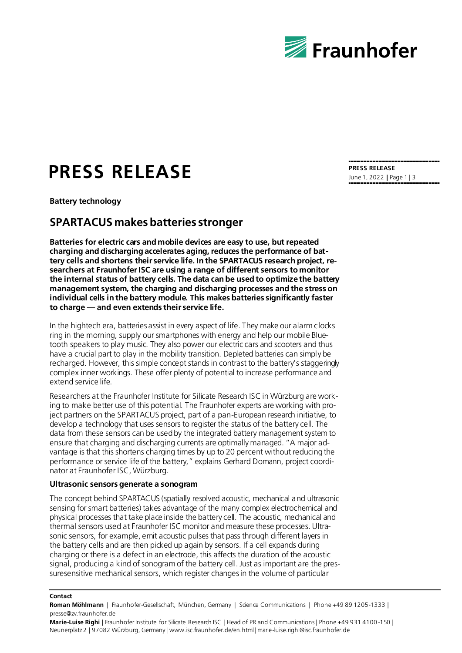

# **PRESS RELEASE**

**Battery technology**

## **SPARTACUS makes batteries stronger**

**Batteries for electric cars and mobile devices are easy to use, but repeated charging and discharging accelerates aging, reduces the performance of battery cells and shortens their service life. In the SPARTACUS research project, researchers at Fraunhofer ISC are using a range of different sensors to monitor the internal status of battery cells. The data can be used to optimize the battery management system, the charging and discharging processes and the stress on individual cells in the battery module. This makes batteries significantly faster to charge — and even extends their service life.**

In the hightech era, batteries assist in every aspect of life. They make our alarm clocks ring in the morning, supply our smartphones with energy and help our mobile Bluetooth speakers to play music. They also power our electric cars and scooters and thus have a crucial part to play in the mobility transition. Depleted batteries can simply be recharged. However, this simple concept stands in contrast to the battery's staggeringly complex inner workings. These offer plenty of potential to increase performance and extend service life.

Researchers at the Fraunhofer Institute for Silicate Research ISC in Würzburg are working to make better use of this potential. The Fraunhofer experts are working with project partners on the SPARTACUS project, part of a pan-European research initiative, to develop a technology that uses sensors to register the status of the battery cell. The data from these sensors can be used by the integrated battery management system to ensure that charging and discharging currents are optimally managed. "A major advantage is that this shortens charging times by up to 20 percent without reducing the performance or service life of the battery," explains Gerhard Domann, project coordinator at Fraunhofer ISC, Würzburg.

## **Ultrasonic sensors generate a sonogram**

The concept behind SPARTACUS (spatially resolved acoustic, mechanical and ultrasonic sensing for smart batteries) takes advantage of the many complex electrochemical and physical processes that take place inside the battery cell. The acoustic, mechanical and thermal sensors used at Fraunhofer ISC monitor and measure these processes. Ultrasonic sensors, for example, emit acoustic pulses that pass through different layers in the battery cells and are then picked up again by sensors. If a cell expands during charging or there is a defect in an electrode, this affects the duration of the acoustic signal, producing a kind of sonogram of the battery cell. Just as important are the pressuresensitive mechanical sensors, which register changes in the volume of particular

#### **Contact**

**Roman Möhlmann** | Fraunhofer-Gesellschaft, München, Germany | Science Communications | Phone +49 89 1205-1333 | presse@zv.fraunhofer.de

**Marie-Luise Righi** | Fraunhofer Institute for Silicate Research ISC | Head of PR and Communications | Phone +49 931 4100 -150 | Neunerplatz 2 | 97082 Würzburg, Germany | www.isc.fraunhofer.de/en.html | marie-luise.righi@isc.fraunhofer.de

**PRESS RELEASE** June 1, 2022 || Page 1 | 3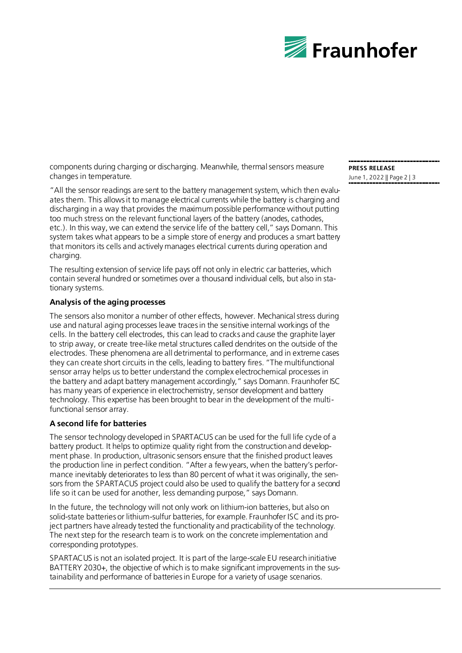

components during charging or discharging. Meanwhile, thermal sensors measure changes in temperature.

"All the sensor readings are sent to the battery management system, which then evaluates them. This allows it to manage electrical currents while the battery is charging and discharging in a way that provides the maximum possible performance without putting too much stress on the relevant functional layers of the battery (anodes, cathodes, etc.). In this way, we can extend the service life of the battery cell," says Domann. This system takes what appears to be a simple store of energy and produces a smart battery that monitors its cells and actively manages electrical currents during operation and charging.

The resulting extension of service life pays off not only in electric car batteries, which contain several hundred or sometimes over a thousand individual cells, but also in stationary systems.

## **Analysis of the aging processes**

The sensors also monitor a number of other effects, however. Mechanical stress during use and natural aging processes leave traces in the sensitive internal workings of the cells. In the battery cell electrodes, this can lead to cracks and cause the graphite layer to strip away, or create tree-like metal structures called dendrites on the outside of the electrodes. These phenomena are all detrimental to performance, and in extreme cases they can create short circuits in the cells, leading to battery fires. "The multifunctional sensor array helps us to better understand the complex electrochemical processes in the battery and adapt battery management accordingly," says Domann. Fraunhofer ISC has many years of experience in electrochemistry, sensor development and battery technology. This expertise has been brought to bear in the development of the multifunctional sensor array.

## **A second life for batteries**

The sensor technology developed in SPARTACUS can be used for the full life cycle of a battery product. It helps to optimize quality right from the construction and development phase. In production, ultrasonic sensors ensure that the finished product leaves the production line in perfect condition. "After a few years, when the battery's performance inevitably deteriorates to less than 80 percent of what it was originally, the sensors from the SPARTACUS project could also be used to qualify the battery for a second life so it can be used for another, less demanding purpose," says Domann.

In the future, the technology will not only work on lithium-ion batteries, but also on solid-state batteries or lithium-sulfur batteries, for example. Fraunhofer ISC and its project partners have already tested the functionality and practicability of the technology. The next step for the research team is to work on the concrete implementation and corresponding prototypes.

SPARTACUS is not an isolated project. It is part of the large-scale EU research initiative BATTERY 2030+, the objective of which is to make significant improvements in the sustainability and performance of batteries in Europe for a variety of usage scenarios.

**PRESS RELEASE** June 1, 2022 || Page 2 | 3